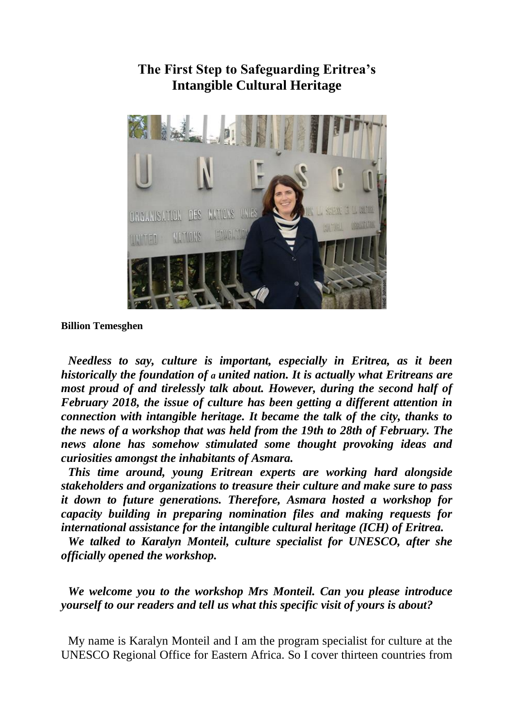

**The First Step to Safeguarding Eritrea's Intangible Cultural Heritage**

**Billion Temesghen** 

*Needless to say, culture is important, especially in Eritrea, as it been historically the foundation of a united nation. It is actually what Eritreans are most proud of and tirelessly talk about. However, during the second half of February 2018, the issue of culture has been getting a different attention in connection with intangible heritage. It became the talk of the city, thanks to the news of a workshop that was held from the 19th to 28th of February. The news alone has somehow stimulated some thought provoking ideas and curiosities amongst the inhabitants of Asmara.* 

*This time around, young Eritrean experts are working hard alongside stakeholders and organizations to treasure their culture and make sure to pass it down to future generations. Therefore, Asmara hosted a workshop for capacity building in preparing nomination files and making requests for international assistance for the intangible cultural heritage (ICH) of Eritrea.* 

*We talked to Karalyn Monteil, culture specialist for UNESCO, after she officially opened the workshop.* 

*We welcome you to the workshop Mrs Monteil. Can you please introduce yourself to our readers and tell us what this specific visit of yours is about?* 

My name is Karalyn Monteil and I am the program specialist for culture at the UNESCO Regional Office for Eastern Africa. So I cover thirteen countries from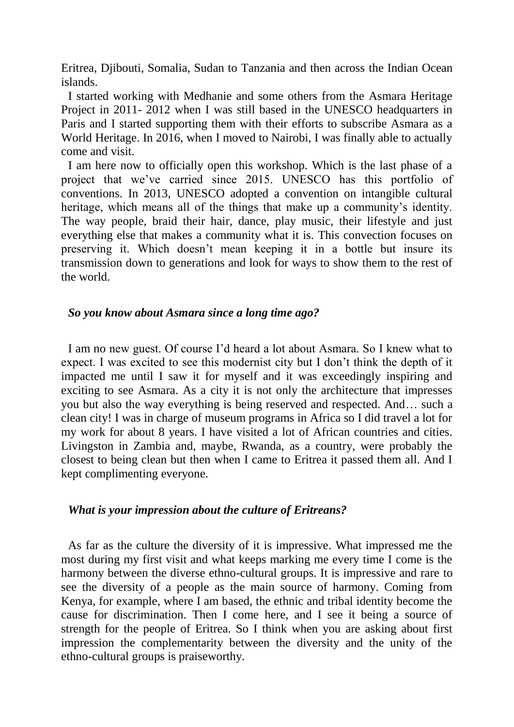Eritrea, Djibouti, Somalia, Sudan to Tanzania and then across the Indian Ocean islands.

I started working with Medhanie and some others from the Asmara Heritage Project in 2011- 2012 when I was still based in the UNESCO headquarters in Paris and I started supporting them with their efforts to subscribe Asmara as a World Heritage. In 2016, when I moved to Nairobi, I was finally able to actually come and visit.

I am here now to officially open this workshop. Which is the last phase of a project that we've carried since 2015. UNESCO has this portfolio of conventions. In 2013, UNESCO adopted a convention on intangible cultural heritage, which means all of the things that make up a community's identity. The way people, braid their hair, dance, play music, their lifestyle and just everything else that makes a community what it is. This convection focuses on preserving it. Which doesn't mean keeping it in a bottle but insure its transmission down to generations and look for ways to show them to the rest of the world.

#### *So you know about Asmara since a long time ago?*

I am no new guest. Of course I'd heard a lot about Asmara. So I knew what to expect. I was excited to see this modernist city but I don't think the depth of it impacted me until I saw it for myself and it was exceedingly inspiring and exciting to see Asmara. As a city it is not only the architecture that impresses you but also the way everything is being reserved and respected. And… such a clean city! I was in charge of museum programs in Africa so I did travel a lot for my work for about 8 years. I have visited a lot of African countries and cities. Livingston in Zambia and, maybe, Rwanda, as a country, were probably the closest to being clean but then when I came to Eritrea it passed them all. And I kept complimenting everyone.

#### *What is your impression about the culture of Eritreans?*

As far as the culture the diversity of it is impressive. What impressed me the most during my first visit and what keeps marking me every time I come is the harmony between the diverse ethno-cultural groups. It is impressive and rare to see the diversity of a people as the main source of harmony. Coming from Kenya, for example, where I am based, the ethnic and tribal identity become the cause for discrimination. Then I come here, and I see it being a source of strength for the people of Eritrea. So I think when you are asking about first impression the complementarity between the diversity and the unity of the ethno-cultural groups is praiseworthy.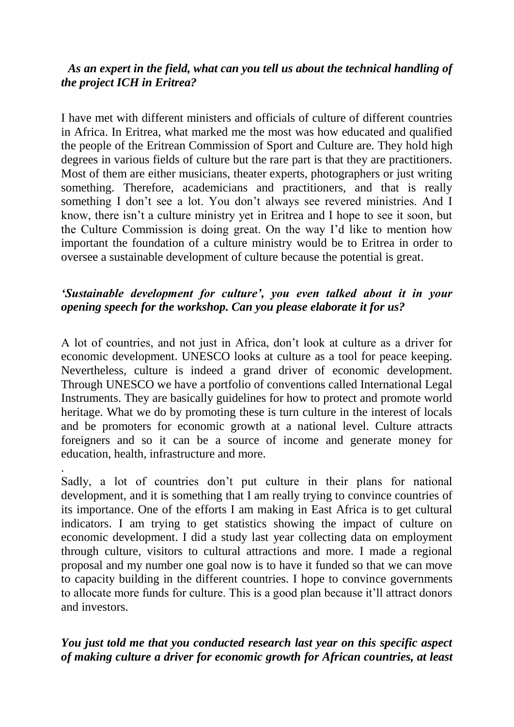## *As an expert in the field, what can you tell us about the technical handling of the project ICH in Eritrea?*

I have met with different ministers and officials of culture of different countries in Africa. In Eritrea, what marked me the most was how educated and qualified the people of the Eritrean Commission of Sport and Culture are. They hold high degrees in various fields of culture but the rare part is that they are practitioners. Most of them are either musicians, theater experts, photographers or just writing something. Therefore, academicians and practitioners, and that is really something I don't see a lot. You don't always see revered ministries. And I know, there isn't a culture ministry yet in Eritrea and I hope to see it soon, but the Culture Commission is doing great. On the way I'd like to mention how important the foundation of a culture ministry would be to Eritrea in order to oversee a sustainable development of culture because the potential is great.

# *'Sustainable development for culture', you even talked about it in your opening speech for the workshop. Can you please elaborate it for us?*

A lot of countries, and not just in Africa, don't look at culture as a driver for economic development. UNESCO looks at culture as a tool for peace keeping. Nevertheless, culture is indeed a grand driver of economic development. Through UNESCO we have a portfolio of conventions called International Legal Instruments. They are basically guidelines for how to protect and promote world heritage. What we do by promoting these is turn culture in the interest of locals and be promoters for economic growth at a national level. Culture attracts foreigners and so it can be a source of income and generate money for education, health, infrastructure and more.

.

Sadly, a lot of countries don't put culture in their plans for national development, and it is something that I am really trying to convince countries of its importance. One of the efforts I am making in East Africa is to get cultural indicators. I am trying to get statistics showing the impact of culture on economic development. I did a study last year collecting data on employment through culture, visitors to cultural attractions and more. I made a regional proposal and my number one goal now is to have it funded so that we can move to capacity building in the different countries. I hope to convince governments to allocate more funds for culture. This is a good plan because it'll attract donors and investors.

*You just told me that you conducted research last year on this specific aspect of making culture a driver for economic growth for African countries, at least*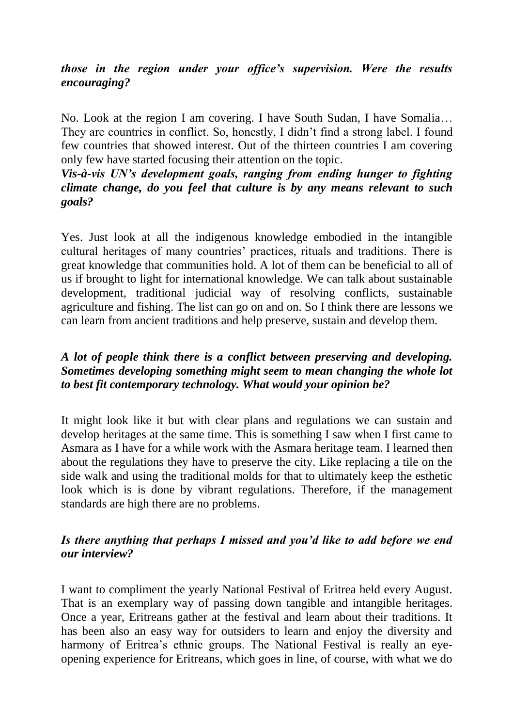## *those in the region under your office's supervision. Were the results encouraging?*

No. Look at the region I am covering. I have South Sudan, I have Somalia… They are countries in conflict. So, honestly, I didn't find a strong label. I found few countries that showed interest. Out of the thirteen countries I am covering only few have started focusing their attention on the topic.

#### *Vis-à-vis UN's development goals, ranging from ending hunger to fighting climate change, do you feel that culture is by any means relevant to such goals?*

Yes. Just look at all the indigenous knowledge embodied in the intangible cultural heritages of many countries' practices, rituals and traditions. There is great knowledge that communities hold. A lot of them can be beneficial to all of us if brought to light for international knowledge. We can talk about sustainable development, traditional judicial way of resolving conflicts, sustainable agriculture and fishing. The list can go on and on. So I think there are lessons we can learn from ancient traditions and help preserve, sustain and develop them.

# *A lot of people think there is a conflict between preserving and developing. Sometimes developing something might seem to mean changing the whole lot to best fit contemporary technology. What would your opinion be?*

It might look like it but with clear plans and regulations we can sustain and develop heritages at the same time. This is something I saw when I first came to Asmara as I have for a while work with the Asmara heritage team. I learned then about the regulations they have to preserve the city. Like replacing a tile on the side walk and using the traditional molds for that to ultimately keep the esthetic look which is is done by vibrant regulations. Therefore, if the management standards are high there are no problems.

## *Is there anything that perhaps I missed and you'd like to add before we end our interview?*

I want to compliment the yearly National Festival of Eritrea held every August. That is an exemplary way of passing down tangible and intangible heritages. Once a year, Eritreans gather at the festival and learn about their traditions. It has been also an easy way for outsiders to learn and enjoy the diversity and harmony of Eritrea's ethnic groups. The National Festival is really an eyeopening experience for Eritreans, which goes in line, of course, with what we do